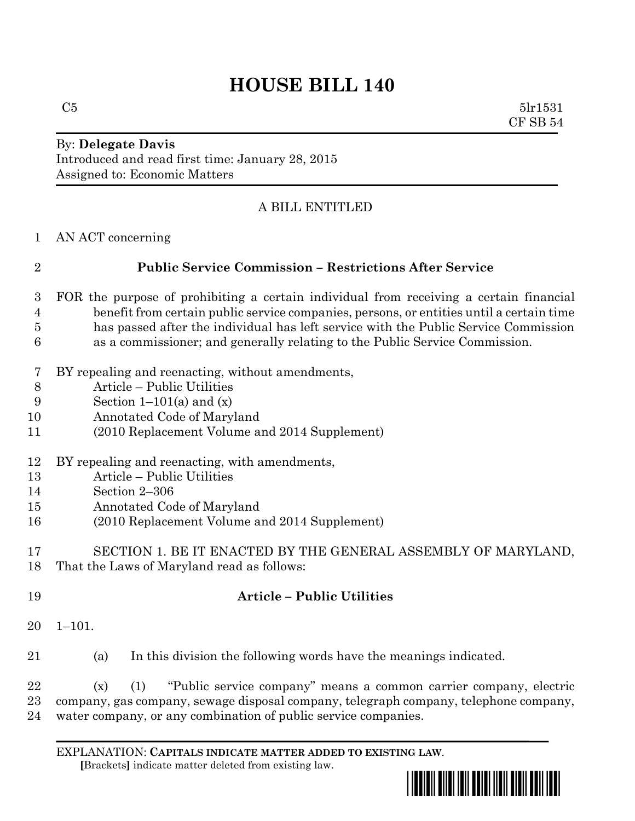# **HOUSE BILL 140**

 $C5$  5lr1531 CF SB 54

#### By: **Delegate Davis** Introduced and read first time: January 28, 2015 Assigned to: Economic Matters

### A BILL ENTITLED

AN ACT concerning

## **Public Service Commission – Restrictions After Service**

- FOR the purpose of prohibiting a certain individual from receiving a certain financial benefit from certain public service companies, persons, or entities until a certain time has passed after the individual has left service with the Public Service Commission as a commissioner; and generally relating to the Public Service Commission.
- BY repealing and reenacting, without amendments,
- Article Public Utilities
- 9 Section  $1-101(a)$  and  $(x)$
- Annotated Code of Maryland
- (2010 Replacement Volume and 2014 Supplement)
- BY repealing and reenacting, with amendments,
- Article Public Utilities
- Section 2–306
- Annotated Code of Maryland
- (2010 Replacement Volume and 2014 Supplement)
- SECTION 1. BE IT ENACTED BY THE GENERAL ASSEMBLY OF MARYLAND, That the Laws of Maryland read as follows:
- **Article – Public Utilities**
- 1–101.
- (a) In this division the following words have the meanings indicated.

 (x) (1) "Public service company" means a common carrier company, electric company, gas company, sewage disposal company, telegraph company, telephone company, water company, or any combination of public service companies.

EXPLANATION: **CAPITALS INDICATE MATTER ADDED TO EXISTING LAW**.  **[**Brackets**]** indicate matter deleted from existing law.

\*hb0140\*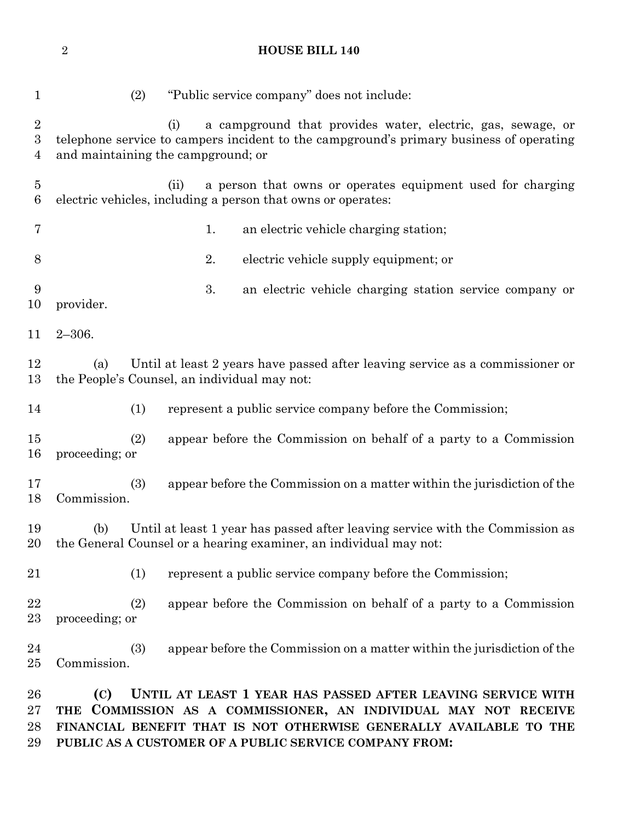**HOUSE BILL 140**

| $\mathbf{1}$                                           | (2)<br>"Public service company" does not include:                                                                                                                                                           |
|--------------------------------------------------------|-------------------------------------------------------------------------------------------------------------------------------------------------------------------------------------------------------------|
| $\boldsymbol{2}$<br>$\boldsymbol{3}$<br>$\overline{4}$ | a campground that provides water, electric, gas, sewage, or<br>(i)<br>telephone service to campers incident to the campground's primary business of operating<br>and maintaining the campground; or         |
| $\overline{5}$<br>$6\phantom{.}6$                      | (ii)<br>a person that owns or operates equipment used for charging<br>electric vehicles, including a person that owns or operates:                                                                          |
| 7                                                      | an electric vehicle charging station;<br>1.                                                                                                                                                                 |
| 8                                                      | 2.<br>electric vehicle supply equipment; or                                                                                                                                                                 |
| 9<br>10                                                | 3.<br>an electric vehicle charging station service company or<br>provider.                                                                                                                                  |
| 11                                                     | $2 - 306.$                                                                                                                                                                                                  |
| 12<br>13                                               | Until at least 2 years have passed after leaving service as a commissioner or<br>(a)<br>the People's Counsel, an individual may not:                                                                        |
| 14                                                     | (1)<br>represent a public service company before the Commission;                                                                                                                                            |
| 15<br>16                                               | appear before the Commission on behalf of a party to a Commission<br>(2)<br>proceeding; or                                                                                                                  |
| 17<br>18                                               | (3)<br>appear before the Commission on a matter within the jurisdiction of the<br>Commission.                                                                                                               |
| 19<br>20                                               | Until at least 1 year has passed after leaving service with the Commission as<br>(b)<br>the General Counsel or a hearing examiner, an individual may not:                                                   |
| 21                                                     | (1)<br>represent a public service company before the Commission;                                                                                                                                            |
| 22<br>23                                               | appear before the Commission on behalf of a party to a Commission<br>(2)<br>proceeding; or                                                                                                                  |
| $\bf{24}$<br>25                                        | (3)<br>appear before the Commission on a matter within the jurisdiction of the<br>Commission.                                                                                                               |
| 26<br>27<br>28                                         | UNTIL AT LEAST 1 YEAR HAS PASSED AFTER LEAVING SERVICE WITH<br>(C)<br>THE COMMISSION AS A COMMISSIONER, AN INDIVIDUAL MAY NOT RECEIVE<br>FINANCIAL BENEFIT THAT IS NOT OTHERWISE GENERALLY AVAILABLE TO THE |

**PUBLIC AS A CUSTOMER OF A PUBLIC SERVICE COMPANY FROM:**